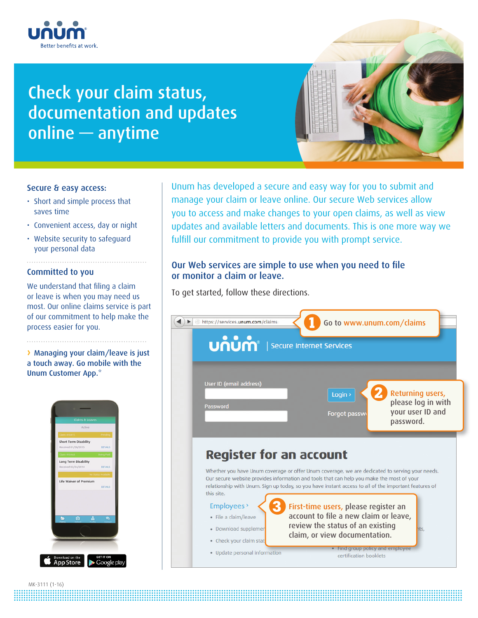

# Check your claim status, documentation and updates online — anytime



## Secure & easy access:

- Short and simple process that saves time
- Convenient access, day or night
- Website security to safeguard your personal data

## Committed to you

We understand that filing a claim or leave is when you may need us most. Our online claims service is part of our commitment to help make the process easier for you.

**›** Managing your claim/leave is just a touch away. Go mobile with the Unum Customer App.\*



Unum has developed a secure and easy way for you to submit and manage your claim or leave online. Our secure Web services allow you to access and make changes to your open claims, as well as view updates and available letters and documents. This is one more way we fulfill our commitment to provide you with prompt service.

# Our Web services are simple to use when you need to file or monitor a claim or leave.

To get started, follow these directions.